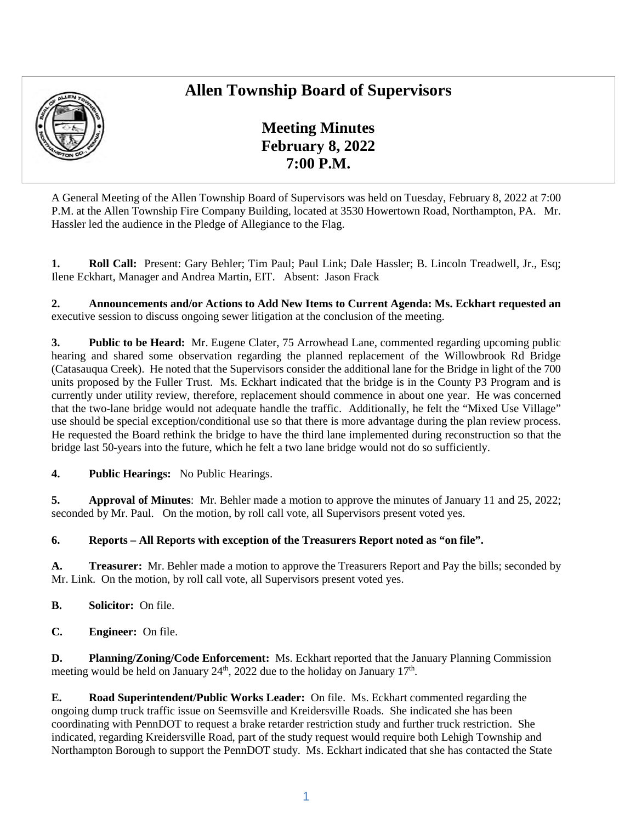## **Allen Township Board of Supervisors**



**Meeting Minutes February 8, 2022 7:00 P.M.** 

A General Meeting of the Allen Township Board of Supervisors was held on Tuesday, February 8, 2022 at 7:00 P.M. at the Allen Township Fire Company Building, located at 3530 Howertown Road, Northampton, PA. Mr. Hassler led the audience in the Pledge of Allegiance to the Flag.

**1. Roll Call:** Present: Gary Behler; Tim Paul; Paul Link; Dale Hassler; B. Lincoln Treadwell, Jr., Esq; Ilene Eckhart, Manager and Andrea Martin, EIT. Absent: Jason Frack

**2. Announcements and/or Actions to Add New Items to Current Agenda: Ms. Eckhart requested an**  executive session to discuss ongoing sewer litigation at the conclusion of the meeting.

**3. Public to be Heard:** Mr. Eugene Clater, 75 Arrowhead Lane, commented regarding upcoming public hearing and shared some observation regarding the planned replacement of the Willowbrook Rd Bridge (Catasauqua Creek). He noted that the Supervisors consider the additional lane for the Bridge in light of the 700 units proposed by the Fuller Trust. Ms. Eckhart indicated that the bridge is in the County P3 Program and is currently under utility review, therefore, replacement should commence in about one year. He was concerned that the two-lane bridge would not adequate handle the traffic. Additionally, he felt the "Mixed Use Village" use should be special exception/conditional use so that there is more advantage during the plan review process. He requested the Board rethink the bridge to have the third lane implemented during reconstruction so that the bridge last 50-years into the future, which he felt a two lane bridge would not do so sufficiently.

**4. Public Hearings:** No Public Hearings.

**5. Approval of Minutes**: Mr. Behler made a motion to approve the minutes of January 11 and 25, 2022; seconded by Mr. Paul. On the motion, by roll call vote, all Supervisors present voted yes.

## **6. Reports – All Reports with exception of the Treasurers Report noted as "on file".**

**A. Treasurer:** Mr. Behler made a motion to approve the Treasurers Report and Pay the bills; seconded by Mr. Link. On the motion, by roll call vote, all Supervisors present voted yes.

- **B. Solicitor:** On file.
- **C. Engineer:** On file.

**D. Planning/Zoning/Code Enforcement:** Ms. Eckhart reported that the January Planning Commission meeting would be held on January  $24<sup>th</sup>$ ,  $2022$  due to the holiday on January  $17<sup>th</sup>$ .

**E. Road Superintendent/Public Works Leader:** On file. Ms. Eckhart commented regarding the ongoing dump truck traffic issue on Seemsville and Kreidersville Roads. She indicated she has been coordinating with PennDOT to request a brake retarder restriction study and further truck restriction. She indicated, regarding Kreidersville Road, part of the study request would require both Lehigh Township and Northampton Borough to support the PennDOT study. Ms. Eckhart indicated that she has contacted the State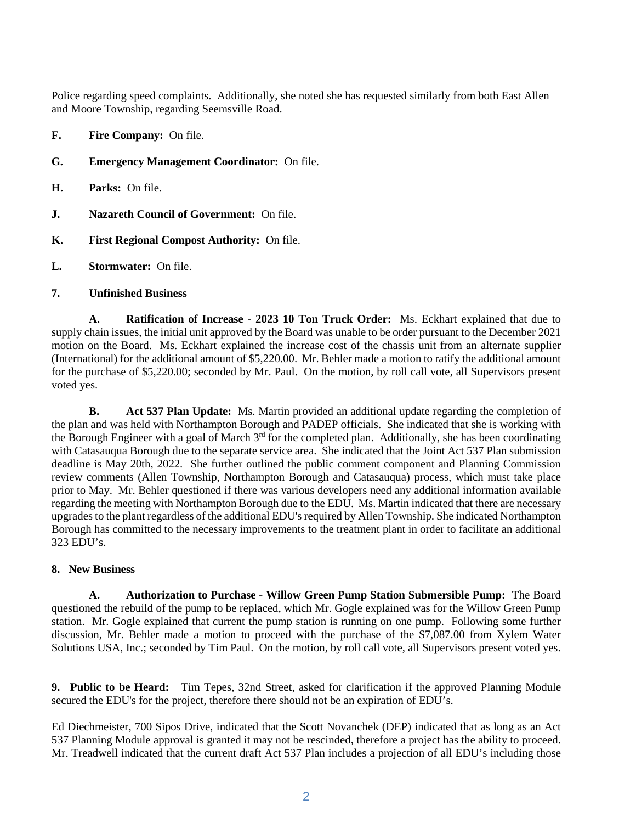Police regarding speed complaints. Additionally, she noted she has requested similarly from both East Allen and Moore Township, regarding Seemsville Road.

- **F. Fire Company:** On file.
- **G. Emergency Management Coordinator:** On file.
- **H. Parks:** On file.
- **J. Nazareth Council of Government:** On file.
- **K. First Regional Compost Authority:** On file.
- **L. Stormwater:** On file.

## **7. Unfinished Business**

**A. Ratification of Increase - 2023 10 Ton Truck Order:** Ms. Eckhart explained that due to supply chain issues, the initial unit approved by the Board was unable to be order pursuant to the December 2021 motion on the Board. Ms. Eckhart explained the increase cost of the chassis unit from an alternate supplier (International) for the additional amount of \$5,220.00. Mr. Behler made a motion to ratify the additional amount for the purchase of \$5,220.00; seconded by Mr. Paul. On the motion, by roll call vote, all Supervisors present voted yes.

**B. Act 537 Plan Update:** Ms. Martin provided an additional update regarding the completion of the plan and was held with Northampton Borough and PADEP officials. She indicated that she is working with the Borough Engineer with a goal of March 3rd for the completed plan. Additionally, she has been coordinating with Catasauqua Borough due to the separate service area. She indicated that the Joint Act 537 Plan submission deadline is May 20th, 2022. She further outlined the public comment component and Planning Commission review comments (Allen Township, Northampton Borough and Catasauqua) process, which must take place prior to May. Mr. Behler questioned if there was various developers need any additional information available regarding the meeting with Northampton Borough due to the EDU. Ms. Martin indicated that there are necessary upgrades to the plant regardless of the additional EDU's required by Allen Township. She indicated Northampton Borough has committed to the necessary improvements to the treatment plant in order to facilitate an additional 323 EDU's.

## **8. New Business**

**A. Authorization to Purchase - Willow Green Pump Station Submersible Pump:** The Board questioned the rebuild of the pump to be replaced, which Mr. Gogle explained was for the Willow Green Pump station. Mr. Gogle explained that current the pump station is running on one pump. Following some further discussion, Mr. Behler made a motion to proceed with the purchase of the \$7,087.00 from Xylem Water Solutions USA, Inc.; seconded by Tim Paul. On the motion, by roll call vote, all Supervisors present voted yes.

**9. Public to be Heard:** Tim Tepes, 32nd Street, asked for clarification if the approved Planning Module secured the EDU's for the project, therefore there should not be an expiration of EDU's.

Ed Diechmeister, 700 Sipos Drive, indicated that the Scott Novanchek (DEP) indicated that as long as an Act 537 Planning Module approval is granted it may not be rescinded, therefore a project has the ability to proceed. Mr. Treadwell indicated that the current draft Act 537 Plan includes a projection of all EDU's including those